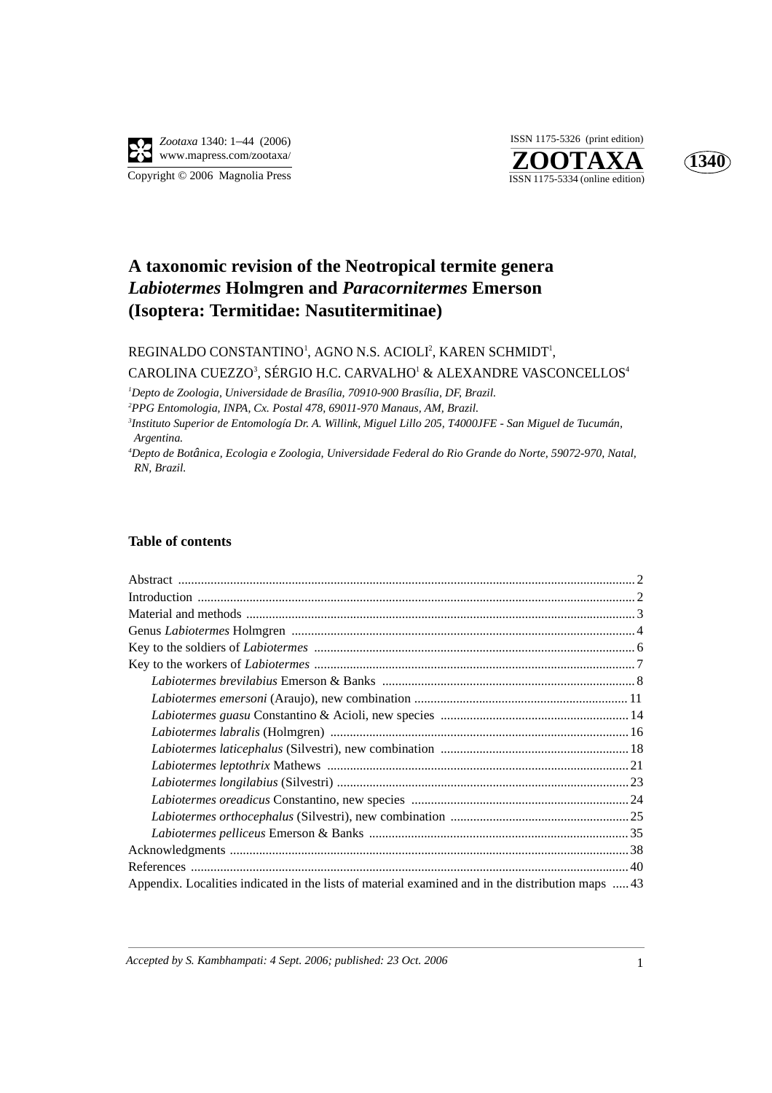

**ZOOTAXA**<br>ISSN 1175-5334 (online edition) ISSN 1175-5326 (print edition)



# **A taxonomic revision of the Neotropical termite genera**  *Labiotermes* **Holmgren and** *Paracornitermes* **Emerson (Isoptera: Termitidae: Nasutitermitinae)**

REGINALDO CONSTANTINO<sup>1</sup>, AGNO N.S. ACIOLI<sup>2</sup>, KAREN SCHMIDT<sup>1</sup>,

CAROLINA CUEZZO<sup>3</sup>, SÉRGIO H.C. CARVALHO<sup>1</sup> & ALEXANDRE VASCONCELLOS<sup>4</sup>

<sup>1</sup> Depto de Zoologia, Universidade de Brasília, 70910-900 Brasília, DF, Brazil.<br><sup>2</sup> PPC Entemplogia, INPA, Cx. Pestal 478, 60011, 070 Manaus, AM, Prazil.

*PPG Entomologia, INPA, Cx. Postal 478, 69011-970 Manaus, AM, Brazil.*

*3 Instituto Superior de Entomología Dr. A. Willink, Miguel Lillo 205, T4000JFE - San Miguel de Tucumán,*  $A$ *rgentina.* 

*Depto de Botânica, Ecologia e Zoologia, Universidade Federal do Rio Grande do Norte, 59072-970, Natal, RN, Brazil.*

#### **Table of contents**

| Appendix. Localities indicated in the lists of material examined and in the distribution maps 43 |
|--------------------------------------------------------------------------------------------------|